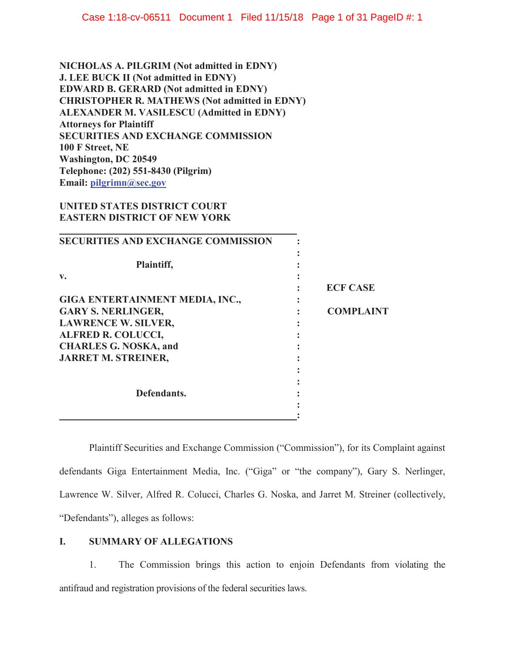**NICHOLAS A. PILGRIM (Not admitted in EDNY) J. LEE BUCK II (Not admitted in EDNY) EDWARD B. GERARD (Not admitted in EDNY) CHRISTOPHER R. MATHEWS (Not admitted in EDNY) ALEXANDER M. VASILESCU (Admitted in EDNY) Attorneys for Plaintiff SECURITIES AND EXCHANGE COMMISSION 100 F Street, NE Washington, DC 20549 Telephone: (202) 551-8430 (Pilgrim) Email: [pilgrimn@sec.gov](mailto:pilgrimn@sec.gov)** 

# **UNITED STATES DISTRICT COURT EASTERN DISTRICT OF NEW YORK**

| <b>SECURITIES AND EXCHANGE COMMISSION</b> |                  |
|-------------------------------------------|------------------|
|                                           |                  |
| Plaintiff,                                |                  |
| v.                                        |                  |
|                                           | <b>ECF CASE</b>  |
| GIGA ENTERTAINMENT MEDIA, INC.,           |                  |
| <b>GARY S. NERLINGER,</b>                 | <b>COMPLAINT</b> |
| <b>LAWRENCE W. SILVER,</b>                |                  |
| <b>ALFRED R. COLUCCI,</b>                 |                  |
| <b>CHARLES G. NOSKA, and</b>              |                  |
| <b>JARRET M. STREINER,</b>                |                  |
|                                           |                  |
|                                           |                  |
| Defendants.                               |                  |
|                                           |                  |
|                                           |                  |

 defendants Giga Entertainment Media, Inc. ("Giga" or "the company"), Gary S. Nerlinger, Plaintiff Securities and Exchange Commission ("Commission"), for its Complaint against Lawrence W. Silver, Alfred R. Colucci, Charles G. Noska, and Jarret M. Streiner (collectively, "Defendants"), alleges as follows:

# **I. SUMMARY OF ALLEGATIONS**

 1. The Commission brings this action to enjoin Defendants from violating the antifraud and registration provisions of the federal securities laws.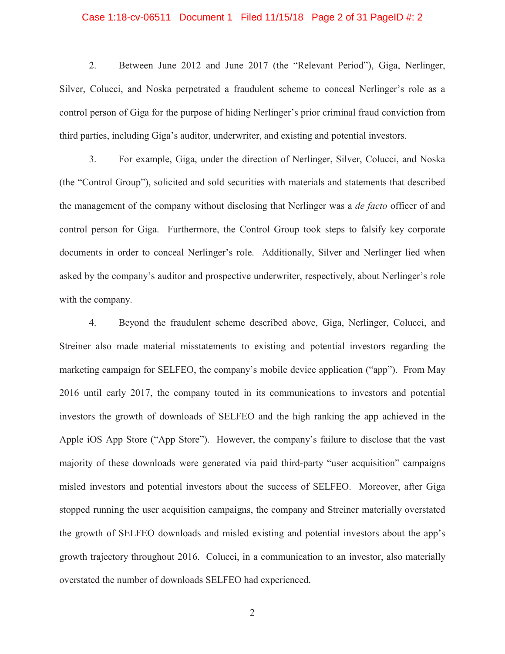#### Case 1:18-cv-06511 Document 1 Filed 11/15/18 Page 2 of 31 PageID #: 2

2. Between June 2012 and June 2017 (the "Relevant Period"), Giga, Nerlinger, Silver, Colucci, and Noska perpetrated a fraudulent scheme to conceal Nerlinger's role as a control person of Giga for the purpose of hiding Nerlinger's prior criminal fraud conviction from third parties, including Giga's auditor, underwriter, and existing and potential investors.

 control person for Giga. Furthermore, the Control Group took steps to falsify key corporate 3. For example, Giga, under the direction of Nerlinger, Silver, Colucci, and Noska (the "Control Group"), solicited and sold securities with materials and statements that described the management of the company without disclosing that Nerlinger was a *de facto* officer of and documents in order to conceal Nerlinger's role. Additionally, Silver and Nerlinger lied when asked by the company's auditor and prospective underwriter, respectively, about Nerlinger's role with the company.

4. Beyond the fraudulent scheme described above, Giga, Nerlinger, Colucci, and Streiner also made material misstatements to existing and potential investors regarding the marketing campaign for SELFEO, the company's mobile device application ("app"). From May 2016 until early 2017, the company touted in its communications to investors and potential investors the growth of downloads of SELFEO and the high ranking the app achieved in the Apple iOS App Store ("App Store"). However, the company's failure to disclose that the vast majority of these downloads were generated via paid third-party "user acquisition" campaigns misled investors and potential investors about the success of SELFEO. Moreover, after Giga stopped running the user acquisition campaigns, the company and Streiner materially overstated the growth of SELFEO downloads and misled existing and potential investors about the app's growth trajectory throughout 2016. Colucci, in a communication to an investor, also materially overstated the number of downloads SELFEO had experienced.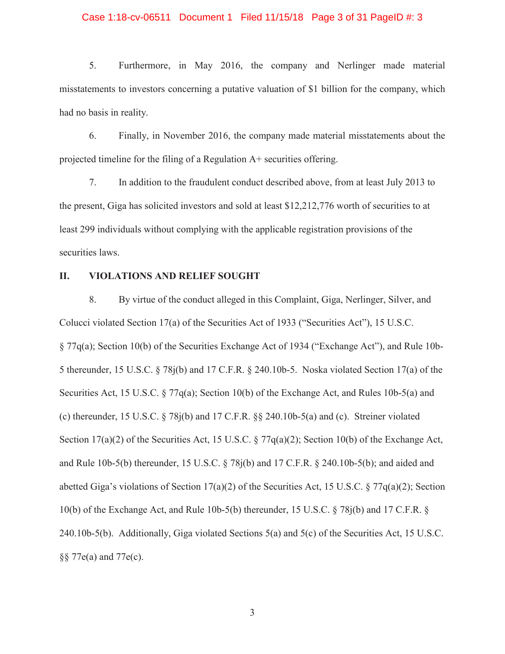#### Case 1:18-cv-06511 Document 1 Filed 11/15/18 Page 3 of 31 PageID #: 3

 misstatements to investors concerning a putative valuation of \$1 billion for the company, which 5. Furthermore, in May 2016, the company and Nerlinger made material had no basis in reality.

6. Finally, in November 2016, the company made material misstatements about the projected timeline for the filing of a Regulation A+ securities offering.

7. In addition to the fraudulent conduct described above, from at least July 2013 to the present, Giga has solicited investors and sold at least \$12,212,776 worth of securities to at least 299 individuals without complying with the applicable registration provisions of the securities laws.

### **II. VIOLATIONS AND RELIEF SOUGHT**

8. By virtue of the conduct alleged in this Complaint, Giga, Nerlinger, Silver, and Colucci violated Section 17(a) of the Securities Act of 1933 ("Securities Act"), 15 U.S.C. § 77q(a); Section 10(b) of the Securities Exchange Act of 1934 ("Exchange Act"), and Rule 10b-5 thereunder, 15 U.S.C. § 78j(b) and 17 C.F.R. § 240.10b-5. Noska violated Section 17(a) of the Securities Act, 15 U.S.C. § 77q(a); Section 10(b) of the Exchange Act, and Rules 10b-5(a) and (c) thereunder, 15 U.S.C. § 78j(b) and 17 C.F.R. §§ 240.10b-5(a) and (c). Streiner violated Section 17(a)(2) of the Securities Act, 15 U.S.C. § 77q(a)(2); Section 10(b) of the Exchange Act, and Rule 10b-5(b) thereunder, 15 U.S.C. § 78j(b) and 17 C.F.R. § 240.10b-5(b); and aided and abetted Giga's violations of Section 17(a)(2) of the Securities Act, 15 U.S.C. § 77q(a)(2); Section 10(b) of the Exchange Act, and Rule 10b-5(b) thereunder, 15 U.S.C. § 78j(b) and 17 C.F.R. § 240.10b-5(b). Additionally, Giga violated Sections 5(a) and 5(c) of the Securities Act, 15 U.S.C. §§ 77e(a) and 77e(c).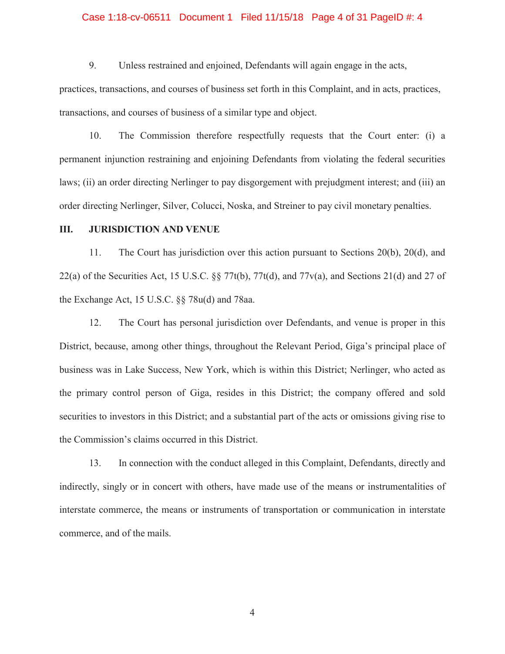#### Case 1:18-cv-06511 Document 1 Filed 11/15/18 Page 4 of 31 PageID #: 4

9. Unless restrained and enjoined, Defendants will again engage in the acts,

practices, transactions, and courses of business set forth in this Complaint, and in acts, practices, transactions, and courses of business of a similar type and object.

 10. The Commission therefore respectfully requests that the Court enter: (i) a laws; (ii) an order directing Nerlinger to pay disgorgement with prejudgment interest; and (iii) an permanent injunction restraining and enjoining Defendants from violating the federal securities order directing Nerlinger, Silver, Colucci, Noska, and Streiner to pay civil monetary penalties.

### **III. JURISDICTION AND VENUE**

11. The Court has jurisdiction over this action pursuant to Sections 20(b), 20(d), and 22(a) of the Securities Act, 15 U.S.C.  $\S$   $\frac{77t(b)}{77t(d)}$ , and  $\frac{77v(a)}{a}$ , and Sections 21(d) and 27 of the Exchange Act, 15 U.S.C. §§ 78u(d) and 78aa.

 business was in Lake Success, New York, which is within this District; Nerlinger, who acted as 12. The Court has personal jurisdiction over Defendants, and venue is proper in this District, because, among other things, throughout the Relevant Period, Giga's principal place of the primary control person of Giga, resides in this District; the company offered and sold securities to investors in this District; and a substantial part of the acts or omissions giving rise to the Commission's claims occurred in this District.

13. In connection with the conduct alleged in this Complaint, Defendants, directly and indirectly, singly or in concert with others, have made use of the means or instrumentalities of interstate commerce, the means or instruments of transportation or communication in interstate commerce, and of the mails.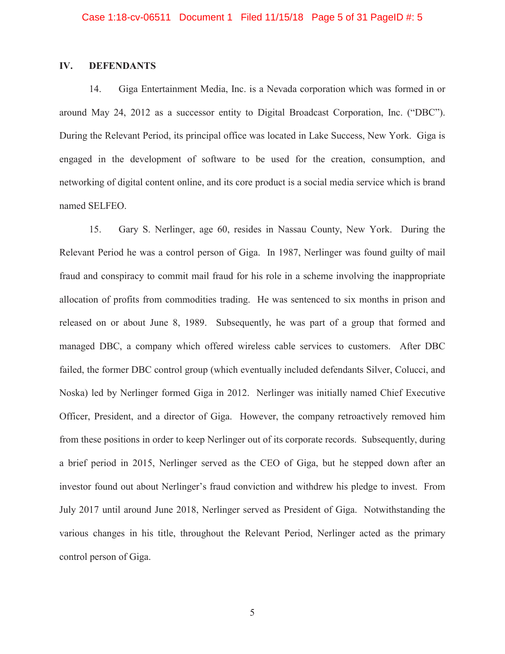# **IV. DEFENDANTS**

14. Giga Entertainment Media, Inc. is a Nevada corporation which was formed in or around May 24, 2012 as a successor entity to Digital Broadcast Corporation, Inc. ("DBC"). During the Relevant Period, its principal office was located in Lake Success, New York. Giga is engaged in the development of software to be used for the creation, consumption, and networking of digital content online, and its core product is a social media service which is brand named SELFEO.

 allocation of profits from commodities trading. He was sentenced to six months in prison and 15. Gary S. Nerlinger, age 60, resides in Nassau County, New York. During the Relevant Period he was a control person of Giga. In 1987, Nerlinger was found guilty of mail fraud and conspiracy to commit mail fraud for his role in a scheme involving the inappropriate released on or about June 8, 1989. Subsequently, he was part of a group that formed and managed DBC, a company which offered wireless cable services to customers. After DBC failed, the former DBC control group (which eventually included defendants Silver, Colucci, and Noska) led by Nerlinger formed Giga in 2012. Nerlinger was initially named Chief Executive Officer, President, and a director of Giga. However, the company retroactively removed him from these positions in order to keep Nerlinger out of its corporate records. Subsequently, during a brief period in 2015, Nerlinger served as the CEO of Giga, but he stepped down after an investor found out about Nerlinger's fraud conviction and withdrew his pledge to invest. From July 2017 until around June 2018, Nerlinger served as President of Giga. Notwithstanding the various changes in his title, throughout the Relevant Period, Nerlinger acted as the primary control person of Giga.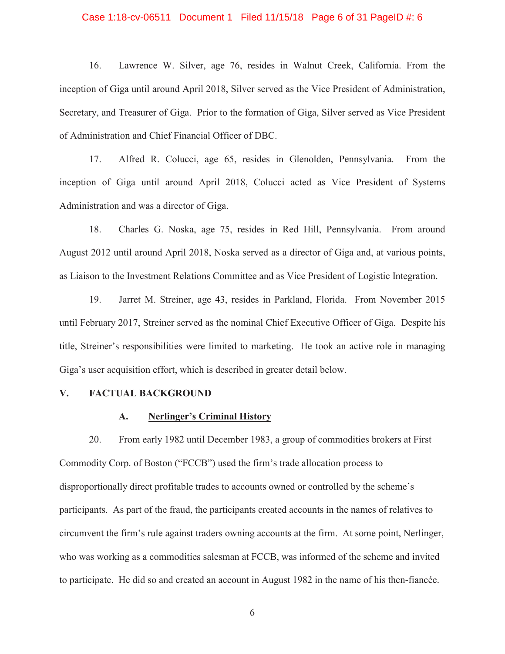#### Case 1:18-cv-06511 Document 1 Filed 11/15/18 Page 6 of 31 PageID #: 6

16. Lawrence W. Silver, age 76, resides in Walnut Creek, California. From the inception of Giga until around April 2018, Silver served as the Vice President of Administration, Secretary, and Treasurer of Giga. Prior to the formation of Giga, Silver served as Vice President of Administration and Chief Financial Officer of DBC.

17. Alfred R. Colucci, age 65, resides in Glenolden, Pennsylvania. From the inception of Giga until around April 2018, Colucci acted as Vice President of Systems Administration and was a director of Giga.

18. Charles G. Noska, age 75, resides in Red Hill, Pennsylvania. From around August 2012 until around April 2018, Noska served as a director of Giga and, at various points, as Liaison to the Investment Relations Committee and as Vice President of Logistic Integration.

19. Jarret M. Streiner, age 43, resides in Parkland, Florida. From November 2015 until February 2017, Streiner served as the nominal Chief Executive Officer of Giga. Despite his title, Streiner's responsibilities were limited to marketing. He took an active role in managing Giga's user acquisition effort, which is described in greater detail below.

### **V. FACTUAL BACKGROUND**

#### **A. Nerlinger's Criminal History**

20. From early 1982 until December 1983, a group of commodities brokers at First Commodity Corp. of Boston ("FCCB") used the firm's trade allocation process to disproportionally direct profitable trades to accounts owned or controlled by the scheme's participants. As part of the fraud, the participants created accounts in the names of relatives to circumvent the firm's rule against traders owning accounts at the firm. At some point, Nerlinger, who was working as a commodities salesman at FCCB, was informed of the scheme and invited to participate. He did so and created an account in August 1982 in the name of his then-fiancée.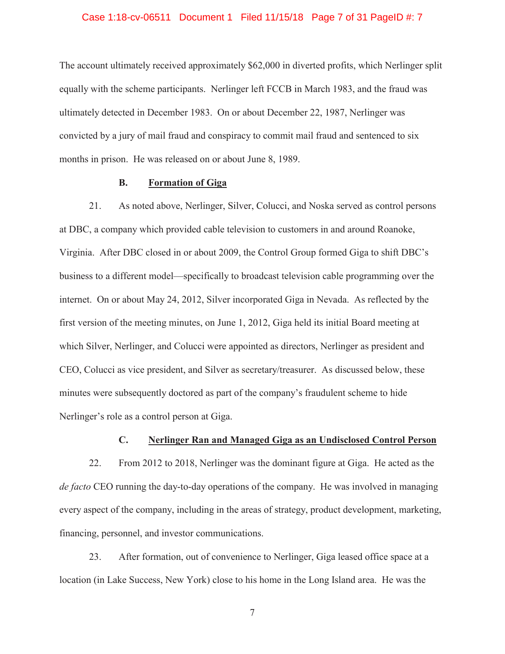#### Case 1:18-cv-06511 Document 1 Filed 11/15/18 Page 7 of 31 PageID #: 7

The account ultimately received approximately \$62,000 in diverted profits, which Nerlinger split equally with the scheme participants. Nerlinger left FCCB in March 1983, and the fraud was ultimately detected in December 1983. On or about December 22, 1987, Nerlinger was convicted by a jury of mail fraud and conspiracy to commit mail fraud and sentenced to six months in prison. He was released on or about June 8, 1989.

### **B. Formation of Giga**

21. As noted above, Nerlinger, Silver, Colucci, and Noska served as control persons at DBC, a company which provided cable television to customers in and around Roanoke, Virginia. After DBC closed in or about 2009, the Control Group formed Giga to shift DBC's business to a different model—specifically to broadcast television cable programming over the internet. On or about May 24, 2012, Silver incorporated Giga in Nevada. As reflected by the first version of the meeting minutes, on June 1, 2012, Giga held its initial Board meeting at which Silver, Nerlinger, and Colucci were appointed as directors, Nerlinger as president and CEO, Colucci as vice president, and Silver as secretary/treasurer. As discussed below, these minutes were subsequently doctored as part of the company's fraudulent scheme to hide Nerlinger's role as a control person at Giga.

### **C. Nerlinger Ran and Managed Giga as an Undisclosed Control Person**

22. From 2012 to 2018, Nerlinger was the dominant figure at Giga. He acted as the *de facto* CEO running the day-to-day operations of the company. He was involved in managing every aspect of the company, including in the areas of strategy, product development, marketing, financing, personnel, and investor communications.

23. After formation, out of convenience to Nerlinger, Giga leased office space at a location (in Lake Success, New York) close to his home in the Long Island area. He was the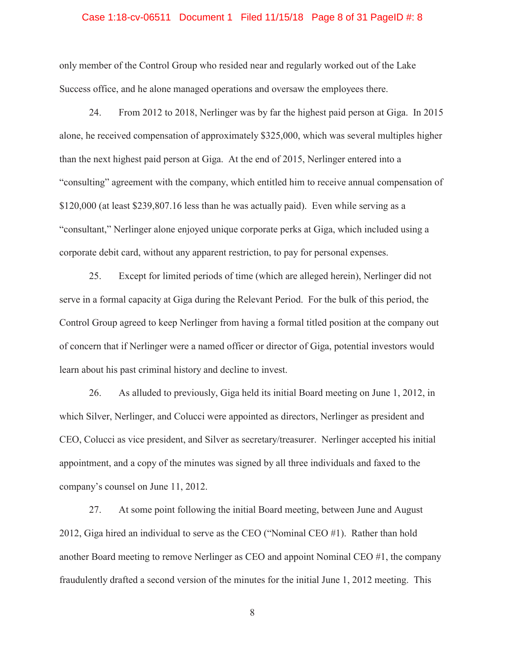#### Case 1:18-cv-06511 Document 1 Filed 11/15/18 Page 8 of 31 PageID #: 8

only member of the Control Group who resided near and regularly worked out of the Lake Success office, and he alone managed operations and oversaw the employees there.

24. From 2012 to 2018, Nerlinger was by far the highest paid person at Giga. In 2015 alone, he received compensation of approximately \$325,000, which was several multiples higher than the next highest paid person at Giga. At the end of 2015, Nerlinger entered into a "consulting" agreement with the company, which entitled him to receive annual compensation of \$120,000 (at least \$[239,807.16](https://239,807.16) less than he was actually paid). Even while serving as a "consultant," Nerlinger alone enjoyed unique corporate perks at Giga, which included using a corporate debit card, without any apparent restriction, to pay for personal expenses.

25. Except for limited periods of time (which are alleged herein), Nerlinger did not serve in a formal capacity at Giga during the Relevant Period. For the bulk of this period, the Control Group agreed to keep Nerlinger from having a formal titled position at the company out of concern that if Nerlinger were a named officer or director of Giga, potential investors would learn about his past criminal history and decline to invest.

26. As alluded to previously, Giga held its initial Board meeting on June 1, 2012, in which Silver, Nerlinger, and Colucci were appointed as directors, Nerlinger as president and CEO, Colucci as vice president, and Silver as secretary/treasurer. Nerlinger accepted his initial appointment, and a copy of the minutes was signed by all three individuals and faxed to the company's counsel on June 11, 2012.

27. At some point following the initial Board meeting, between June and August 2012, Giga hired an individual to serve as the CEO ("Nominal CEO #1). Rather than hold another Board meeting to remove Nerlinger as CEO and appoint Nominal CEO #1, the company fraudulently drafted a second version of the minutes for the initial June 1, 2012 meeting. This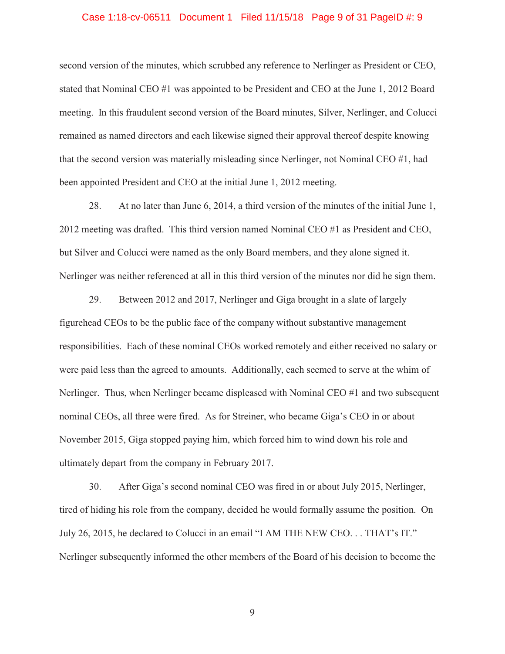#### Case 1:18-cv-06511 Document 1 Filed 11/15/18 Page 9 of 31 PageID #: 9

second version of the minutes, which scrubbed any reference to Nerlinger as President or CEO, stated that Nominal CEO #1 was appointed to be President and CEO at the June 1, 2012 Board meeting. In this fraudulent second version of the Board minutes, Silver, Nerlinger, and Colucci remained as named directors and each likewise signed their approval thereof despite knowing that the second version was materially misleading since Nerlinger, not Nominal CEO #1, had been appointed President and CEO at the initial June 1, 2012 meeting.

28. At no later than June 6, 2014, a third version of the minutes of the initial June 1, 2012 meeting was drafted. This third version named Nominal CEO #1 as President and CEO, but Silver and Colucci were named as the only Board members, and they alone signed it. Nerlinger was neither referenced at all in this third version of the minutes nor did he sign them.

29. Between 2012 and 2017, Nerlinger and Giga brought in a slate of largely figurehead CEOs to be the public face of the company without substantive management responsibilities. Each of these nominal CEOs worked remotely and either received no salary or were paid less than the agreed to amounts. Additionally, each seemed to serve at the whim of Nerlinger. Thus, when Nerlinger became displeased with Nominal CEO #1 and two subsequent nominal CEOs, all three were fired. As for Streiner, who became Giga's CEO in or about November 2015, Giga stopped paying him, which forced him to wind down his role and ultimately depart from the company in February 2017.

30. After Giga's second nominal CEO was fired in or about July 2015, Nerlinger, tired of hiding his role from the company, decided he would formally assume the position. On July 26, 2015, he declared to Colucci in an email "I AM THE NEW CEO. . . THAT's IT." Nerlinger subsequently informed the other members of the Board of his decision to become the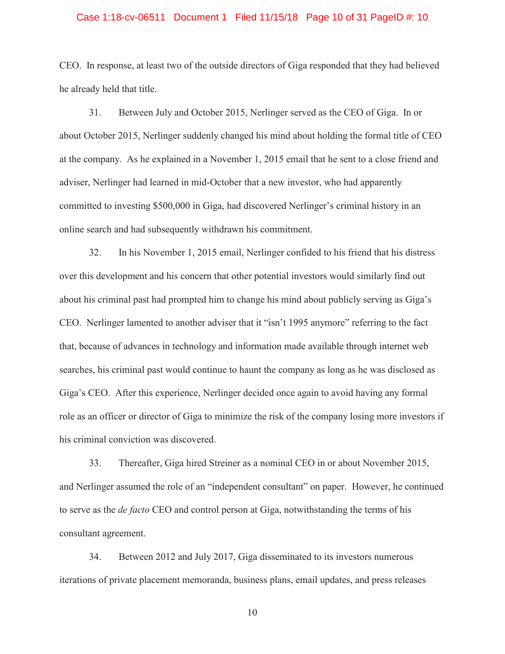#### Case 1:18-cv-06511 Document 1 Filed 11/15/18 Page 10 of 31 PageID #: 10

CEO. In response, at least two of the outside directors of Giga responded that they had believed he already held that title.

31. Between July and October 2015, Nerlinger served as the CEO of Giga. In or about October 2015, Nerlinger suddenly changed his mind about holding the formal title of CEO at the company. As he explained in a November 1, 2015 email that he sent to a close friend and adviser, Nerlinger had learned in mid-October that a new investor, who had apparently committed to investing \$500,000 in Giga, had discovered Nerlinger's criminal history in an online search and had subsequently withdrawn his commitment.

32. In his November 1, 2015 email, Nerlinger confided to his friend that his distress over this development and his concern that other potential investors would similarly find out about his criminal past had prompted him to change his mind about publicly serving as Giga's CEO. Nerlinger lamented to another adviser that it "isn't 1995 anymore" referring to the fact that, because of advances in technology and information made available through internet web searches, his criminal past would continue to haunt the company as long as he was disclosed as Giga's CEO. After this experience, Nerlinger decided once again to avoid having any formal role as an officer or director of Giga to minimize the risk of the company losing more investors if his criminal conviction was discovered.

33. Thereafter, Giga hired Streiner as a nominal CEO in or about November 2015, and Nerlinger assumed the role of an "independent consultant" on paper. However, he continued to serve as the *de facto* CEO and control person at Giga, notwithstanding the terms of his consultant agreement.

34. Between 2012 and July 2017, Giga disseminated to its investors numerous iterations of private placement memoranda, business plans, email updates, and press releases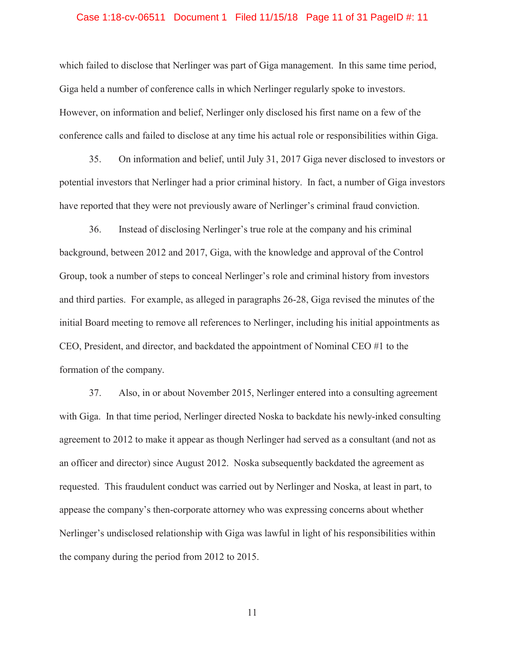#### Case 1:18-cv-06511 Document 1 Filed 11/15/18 Page 11 of 31 PageID #: 11

which failed to disclose that Nerlinger was part of Giga management. In this same time period, Giga held a number of conference calls in which Nerlinger regularly spoke to investors. However, on information and belief, Nerlinger only disclosed his first name on a few of the conference calls and failed to disclose at any time his actual role or responsibilities within Giga.

35. On information and belief, until July 31, 2017 Giga never disclosed to investors or potential investors that Nerlinger had a prior criminal history. In fact, a number of Giga investors have reported that they were not previously aware of Nerlinger's criminal fraud conviction.

36. Instead of disclosing Nerlinger's true role at the company and his criminal background, between 2012 and 2017, Giga, with the knowledge and approval of the Control Group, took a number of steps to conceal Nerlinger's role and criminal history from investors and third parties. For example, as alleged in paragraphs 26-28, Giga revised the minutes of the initial Board meeting to remove all references to Nerlinger, including his initial appointments as CEO, President, and director, and backdated the appointment of Nominal CEO #1 to the formation of the company.

37. Also, in or about November 2015, Nerlinger entered into a consulting agreement with Giga. In that time period, Nerlinger directed Noska to backdate his newly-inked consulting agreement to 2012 to make it appear as though Nerlinger had served as a consultant (and not as an officer and director) since August 2012. Noska subsequently backdated the agreement as requested. This fraudulent conduct was carried out by Nerlinger and Noska, at least in part, to appease the company's then-corporate attorney who was expressing concerns about whether Nerlinger's undisclosed relationship with Giga was lawful in light of his responsibilities within the company during the period from 2012 to 2015.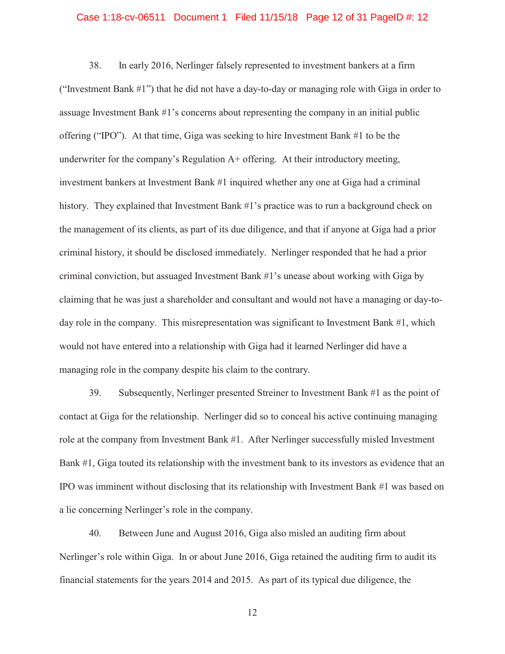#### Case 1:18-cv-06511 Document 1 Filed 11/15/18 Page 12 of 31 PageID #: 12

38. In early 2016, Nerlinger falsely represented to investment bankers at a firm ("Investment Bank #1") that he did not have a day-to-day or managing role with Giga in order to assuage Investment Bank #1's concerns about representing the company in an initial public offering ("IPO"). At that time, Giga was seeking to hire Investment Bank #1 to be the underwriter for the company's Regulation  $A+$  offering. At their introductory meeting, investment bankers at Investment Bank #1 inquired whether any one at Giga had a criminal history. They explained that Investment Bank #1's practice was to run a background check on the management of its clients, as part of its due diligence, and that if anyone at Giga had a prior criminal history, it should be disclosed immediately. Nerlinger responded that he had a prior criminal conviction, but assuaged Investment Bank #1's unease about working with Giga by claiming that he was just a shareholder and consultant and would not have a managing or day-today role in the company. This misrepresentation was significant to Investment Bank #1, which would not have entered into a relationship with Giga had it learned Nerlinger did have a managing role in the company despite his claim to the contrary.

39. Subsequently, Nerlinger presented Streiner to Investment Bank #1 as the point of contact at Giga for the relationship. Nerlinger did so to conceal his active continuing managing role at the company from Investment Bank #1. After Nerlinger successfully misled Investment Bank #1, Giga touted its relationship with the investment bank to its investors as evidence that an IPO was imminent without disclosing that its relationship with Investment Bank #1 was based on a lie concerning Nerlinger's role in the company.

40. Between June and August 2016, Giga also misled an auditing firm about Nerlinger's role within Giga. In or about June 2016, Giga retained the auditing firm to audit its financial statements for the years 2014 and 2015. As part of its typical due diligence, the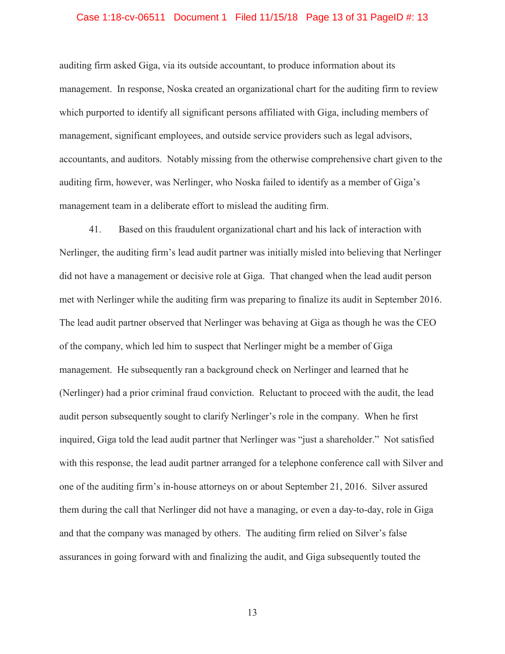#### Case 1:18-cv-06511 Document 1 Filed 11/15/18 Page 13 of 31 PageID #: 13

auditing firm asked Giga, via its outside accountant, to produce information about its management. In response, Noska created an organizational chart for the auditing firm to review which purported to identify all significant persons affiliated with Giga, including members of management, significant employees, and outside service providers such as legal advisors, accountants, and auditors. Notably missing from the otherwise comprehensive chart given to the auditing firm, however, was Nerlinger, who Noska failed to identify as a member of Giga's management team in a deliberate effort to mislead the auditing firm.

41. Based on this fraudulent organizational chart and his lack of interaction with Nerlinger, the auditing firm's lead audit partner was initially misled into believing that Nerlinger did not have a management or decisive role at Giga. That changed when the lead audit person met with Nerlinger while the auditing firm was preparing to finalize its audit in September 2016. The lead audit partner observed that Nerlinger was behaving at Giga as though he was the CEO of the company, which led him to suspect that Nerlinger might be a member of Giga management. He subsequently ran a background check on Nerlinger and learned that he (Nerlinger) had a prior criminal fraud conviction. Reluctant to proceed with the audit, the lead audit person subsequently sought to clarify Nerlinger's role in the company. When he first inquired, Giga told the lead audit partner that Nerlinger was "just a shareholder." Not satisfied with this response, the lead audit partner arranged for a telephone conference call with Silver and one of the auditing firm's in-house attorneys on or about September 21, 2016. Silver assured them during the call that Nerlinger did not have a managing, or even a day-to-day, role in Giga and that the company was managed by others. The auditing firm relied on Silver's false assurances in going forward with and finalizing the audit, and Giga subsequently touted the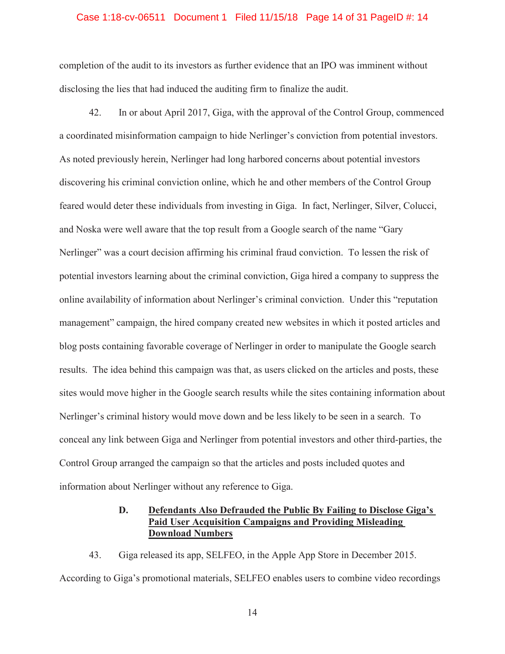#### Case 1:18-cv-06511 Document 1 Filed 11/15/18 Page 14 of 31 PageID #: 14

completion of the audit to its investors as further evidence that an IPO was imminent without disclosing the lies that had induced the auditing firm to finalize the audit.

42. In or about April 2017, Giga, with the approval of the Control Group, commenced a coordinated misinformation campaign to hide Nerlinger's conviction from potential investors. As noted previously herein, Nerlinger had long harbored concerns about potential investors discovering his criminal conviction online, which he and other members of the Control Group feared would deter these individuals from investing in Giga. In fact, Nerlinger, Silver, Colucci, and Noska were well aware that the top result from a Google search of the name "Gary Nerlinger" was a court decision affirming his criminal fraud conviction. To lessen the risk of potential investors learning about the criminal conviction, Giga hired a company to suppress the online availability of information about Nerlinger's criminal conviction. Under this "reputation management" campaign, the hired company created new websites in which it posted articles and blog posts containing favorable coverage of Nerlinger in order to manipulate the Google search results. The idea behind this campaign was that, as users clicked on the articles and posts, these sites would move higher in the Google search results while the sites containing information about Nerlinger's criminal history would move down and be less likely to be seen in a search. To conceal any link between Giga and Nerlinger from potential investors and other third-parties, the Control Group arranged the campaign so that the articles and posts included quotes and information about Nerlinger without any reference to Giga.

# **D. Defendants Also Defrauded the Public By Failing to Disclose Giga's Paid User Acquisition Campaigns and Providing Misleading Download Numbers**

43. Giga released its app, SELFEO, in the Apple App Store in December 2015. According to Giga's promotional materials, SELFEO enables users to combine video recordings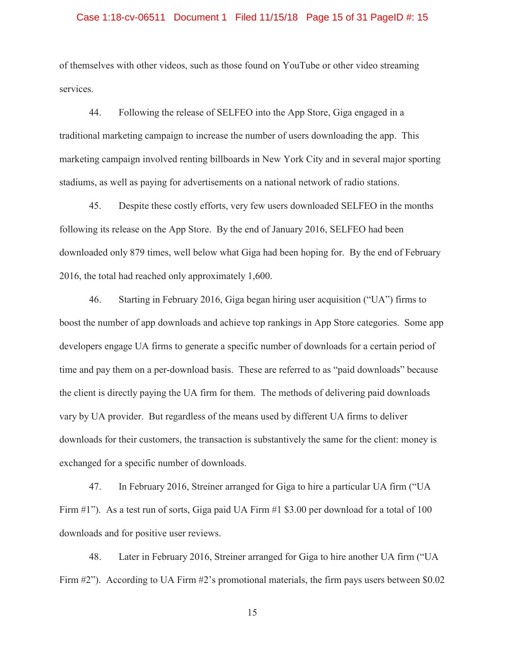#### Case 1:18-cv-06511 Document 1 Filed 11/15/18 Page 15 of 31 PageID #: 15

of themselves with other videos, such as those found on YouTube or other video streaming services.

44. Following the release of SELFEO into the App Store, Giga engaged in a traditional marketing campaign to increase the number of users downloading the app. This marketing campaign involved renting billboards in New York City and in several major sporting stadiums, as well as paying for advertisements on a national network of radio stations.

45. Despite these costly efforts, very few users downloaded SELFEO in the months following its release on the App Store. By the end of January 2016, SELFEO had been downloaded only 879 times, well below what Giga had been hoping for. By the end of February 2016, the total had reached only approximately 1,600.

46. Starting in February 2016, Giga began hiring user acquisition ("UA") firms to boost the number of app downloads and achieve top rankings in App Store categories. Some app developers engage UA firms to generate a specific number of downloads for a certain period of time and pay them on a per-download basis. These are referred to as "paid downloads" because the client is directly paying the UA firm for them. The methods of delivering paid downloads vary by UA provider. But regardless of the means used by different UA firms to deliver downloads for their customers, the transaction is substantively the same for the client: money is exchanged for a specific number of downloads.

47. In February 2016, Streiner arranged for Giga to hire a particular UA firm ("UA Firm  $\#1$ "). As a test run of sorts, Giga paid UA Firm  $\#1$  \$3.00 per download for a total of 100 downloads and for positive user reviews.

48. Later in February 2016, Streiner arranged for Giga to hire another UA firm ("UA Firm #2"). According to UA Firm #2's promotional materials, the firm pays users between \$0.02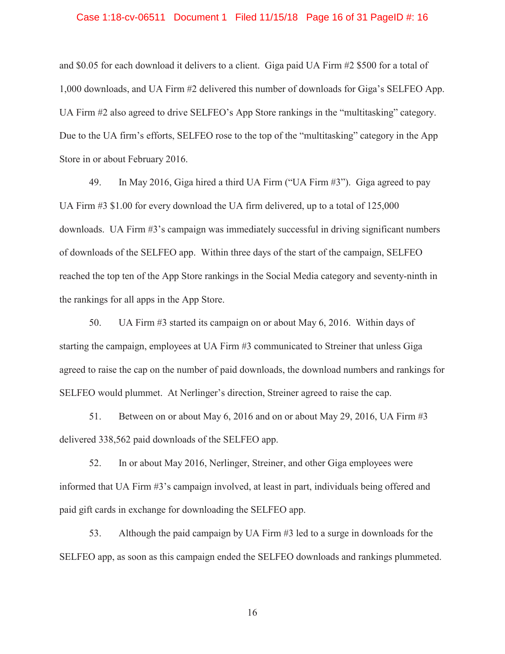#### Case 1:18-cv-06511 Document 1 Filed 11/15/18 Page 16 of 31 PageID #: 16

UA Firm #2 also agreed to drive SELFEO's App Store rankings in the "multitasking" category. and \$0.05 for each download it delivers to a client. Giga paid UA Firm #2 \$500 for a total of 1,000 downloads, and UA Firm #2 delivered this number of downloads for Giga's SELFEO App. Due to the UA firm's efforts, SELFEO rose to the top of the "multitasking" category in the App Store in or about February 2016.

49. In May 2016, Giga hired a third UA Firm ("UA Firm #3"). Giga agreed to pay UA Firm #3 \$1.00 for every download the UA firm delivered, up to a total of 125,000 downloads. UA Firm #3's campaign was immediately successful in driving significant numbers of downloads of the SELFEO app. Within three days of the start of the campaign, SELFEO reached the top ten of the App Store rankings in the Social Media category and seventy-ninth in the rankings for all apps in the App Store.

50. UA Firm #3 started its campaign on or about May 6, 2016. Within days of starting the campaign, employees at UA Firm #3 communicated to Streiner that unless Giga agreed to raise the cap on the number of paid downloads, the download numbers and rankings for SELFEO would plummet. At Nerlinger's direction, Streiner agreed to raise the cap.

51. Between on or about May 6, 2016 and on or about May 29, 2016, UA Firm #3 delivered 338,562 paid downloads of the SELFEO app.

52. In or about May 2016, Nerlinger, Streiner, and other Giga employees were informed that UA Firm #3's campaign involved, at least in part, individuals being offered and paid gift cards in exchange for downloading the SELFEO app.

53. Although the paid campaign by UA Firm #3 led to a surge in downloads for the SELFEO app, as soon as this campaign ended the SELFEO downloads and rankings plummeted.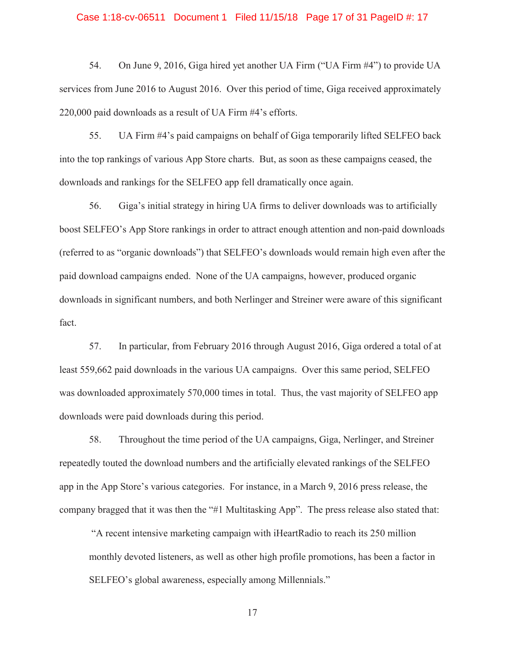#### Case 1:18-cv-06511 Document 1 Filed 11/15/18 Page 17 of 31 PageID #: 17

54. On June 9, 2016, Giga hired yet another UA Firm ("UA Firm #4") to provide UA services from June 2016 to August 2016. Over this period of time, Giga received approximately 220,000 paid downloads as a result of UA Firm #4's efforts.

55. UA Firm #4's paid campaigns on behalf of Giga temporarily lifted SELFEO back into the top rankings of various App Store charts. But, as soon as these campaigns ceased, the downloads and rankings for the SELFEO app fell dramatically once again.

56. Giga's initial strategy in hiring UA firms to deliver downloads was to artificially boost SELFEO's App Store rankings in order to attract enough attention and non-paid downloads (referred to as "organic downloads") that SELFEO's downloads would remain high even after the paid download campaigns ended. None of the UA campaigns, however, produced organic downloads in significant numbers, and both Nerlinger and Streiner were aware of this significant fact.

57. In particular, from February 2016 through August 2016, Giga ordered a total of at least 559,662 paid downloads in the various UA campaigns. Over this same period, SELFEO was downloaded approximately 570,000 times in total. Thus, the vast majority of SELFEO app downloads were paid downloads during this period.

58. Throughout the time period of the UA campaigns, Giga, Nerlinger, and Streiner repeatedly touted the download numbers and the artificially elevated rankings of the SELFEO app in the App Store's various categories. For instance, in a March 9, 2016 press release, the company bragged that it was then the "#1 Multitasking App". The press release also stated that:

"A recent intensive marketing campaign with iHeartRadio to reach its 250 million monthly devoted listeners, as well as other high profile promotions, has been a factor in SELFEO's global awareness, especially among Millennials."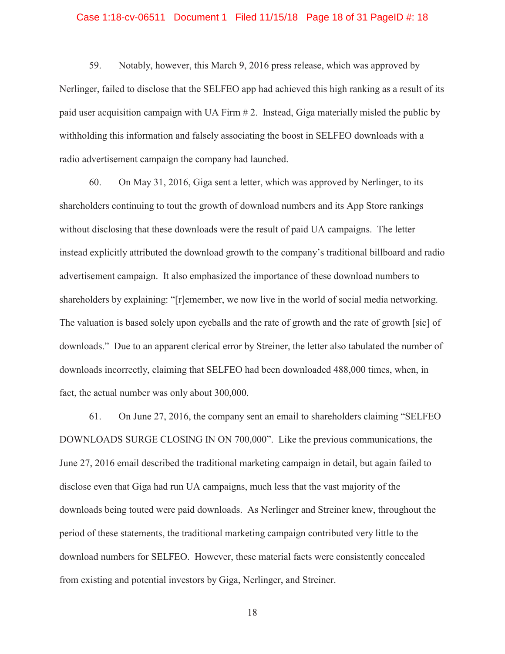#### Case 1:18-cv-06511 Document 1 Filed 11/15/18 Page 18 of 31 PageID #: 18

59. Notably, however, this March 9, 2016 press release, which was approved by Nerlinger, failed to disclose that the SELFEO app had achieved this high ranking as a result of its paid user acquisition campaign with UA Firm # 2. Instead, Giga materially misled the public by withholding this information and falsely associating the boost in SELFEO downloads with a radio advertisement campaign the company had launched.

60. On May 31, 2016, Giga sent a letter, which was approved by Nerlinger, to its shareholders continuing to tout the growth of download numbers and its App Store rankings without disclosing that these downloads were the result of paid UA campaigns. The letter instead explicitly attributed the download growth to the company's traditional billboard and radio advertisement campaign. It also emphasized the importance of these download numbers to shareholders by explaining: "[r]emember, we now live in the world of social media networking. The valuation is based solely upon eyeballs and the rate of growth and the rate of growth [sic] of downloads." Due to an apparent clerical error by Streiner, the letter also tabulated the number of downloads incorrectly, claiming that SELFEO had been downloaded 488,000 times, when, in fact, the actual number was only about 300,000.

61. On June 27, 2016, the company sent an email to shareholders claiming "SELFEO DOWNLOADS SURGE CLOSING IN ON 700,000". Like the previous communications, the June 27, 2016 email described the traditional marketing campaign in detail, but again failed to disclose even that Giga had run UA campaigns, much less that the vast majority of the downloads being touted were paid downloads. As Nerlinger and Streiner knew, throughout the period of these statements, the traditional marketing campaign contributed very little to the download numbers for SELFEO. However, these material facts were consistently concealed from existing and potential investors by Giga, Nerlinger, and Streiner.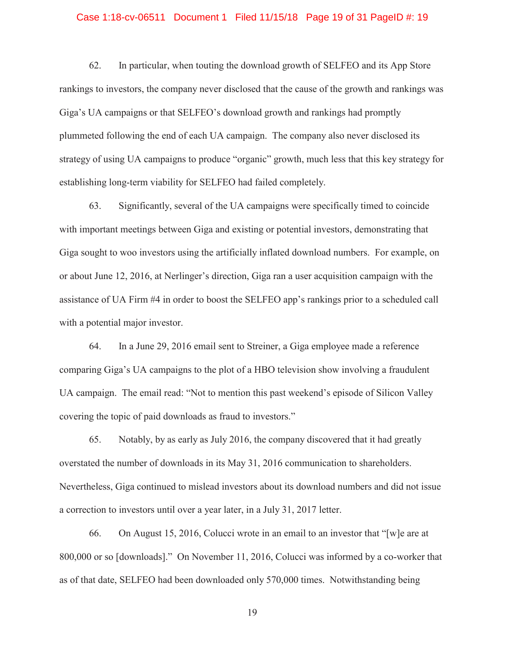#### Case 1:18-cv-06511 Document 1 Filed 11/15/18 Page 19 of 31 PageID #: 19

62. In particular, when touting the download growth of SELFEO and its App Store rankings to investors, the company never disclosed that the cause of the growth and rankings was Giga's UA campaigns or that SELFEO's download growth and rankings had promptly plummeted following the end of each UA campaign. The company also never disclosed its strategy of using UA campaigns to produce "organic" growth, much less that this key strategy for establishing long-term viability for SELFEO had failed completely.

63. Significantly, several of the UA campaigns were specifically timed to coincide with important meetings between Giga and existing or potential investors, demonstrating that Giga sought to woo investors using the artificially inflated download numbers. For example, on or about June 12, 2016, at Nerlinger's direction, Giga ran a user acquisition campaign with the assistance of UA Firm #4 in order to boost the SELFEO app's rankings prior to a scheduled call with a potential major investor.

64. In a June 29, 2016 email sent to Streiner, a Giga employee made a reference comparing Giga's UA campaigns to the plot of a HBO television show involving a fraudulent UA campaign. The email read: "Not to mention this past weekend's episode of Silicon Valley covering the topic of paid downloads as fraud to investors."

65. Notably, by as early as July 2016, the company discovered that it had greatly overstated the number of downloads in its May 31, 2016 communication to shareholders. Nevertheless, Giga continued to mislead investors about its download numbers and did not issue a correction to investors until over a year later, in a July 31, 2017 letter.

66. On August 15, 2016, Colucci wrote in an email to an investor that "[w]e are at 800,000 or so [downloads]." On November 11, 2016, Colucci was informed by a co-worker that as of that date, SELFEO had been downloaded only 570,000 times. Notwithstanding being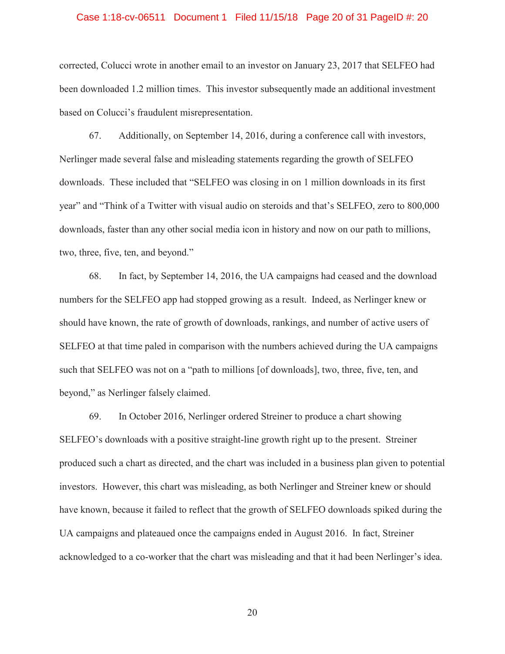#### Case 1:18-cv-06511 Document 1 Filed 11/15/18 Page 20 of 31 PageID #: 20

corrected, Colucci wrote in another email to an investor on January 23, 2017 that SELFEO had been downloaded 1.2 million times. This investor subsequently made an additional investment based on Colucci's fraudulent misrepresentation.

67. Additionally, on September 14, 2016, during a conference call with investors, Nerlinger made several false and misleading statements regarding the growth of SELFEO downloads. These included that "SELFEO was closing in on 1 million downloads in its first year" and "Think of a Twitter with visual audio on steroids and that's SELFEO, zero to 800,000 downloads, faster than any other social media icon in history and now on our path to millions, two, three, five, ten, and beyond."

68. In fact, by September 14, 2016, the UA campaigns had ceased and the download numbers for the SELFEO app had stopped growing as a result. Indeed, as Nerlinger knew or should have known, the rate of growth of downloads, rankings, and number of active users of SELFEO at that time paled in comparison with the numbers achieved during the UA campaigns such that SELFEO was not on a "path to millions [of downloads], two, three, five, ten, and beyond," as Nerlinger falsely claimed.

69. In October 2016, Nerlinger ordered Streiner to produce a chart showing SELFEO's downloads with a positive straight-line growth right up to the present. Streiner produced such a chart as directed, and the chart was included in a business plan given to potential investors. However, this chart was misleading, as both Nerlinger and Streiner knew or should have known, because it failed to reflect that the growth of SELFEO downloads spiked during the UA campaigns and plateaued once the campaigns ended in August 2016. In fact, Streiner acknowledged to a co-worker that the chart was misleading and that it had been Nerlinger's idea.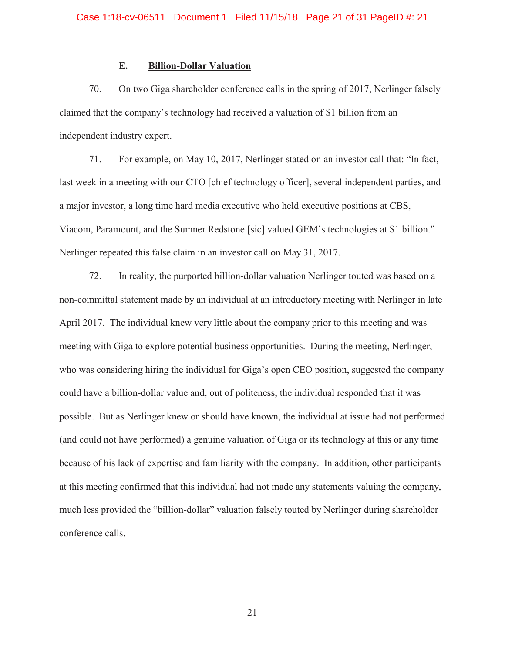# **E. Billion-Dollar Valuation**

70. On two Giga shareholder conference calls in the spring of 2017, Nerlinger falsely claimed that the company's technology had received a valuation of \$1 billion from an independent industry expert.

71. For example, on May 10, 2017, Nerlinger stated on an investor call that: "In fact, last week in a meeting with our CTO [chief technology officer], several independent parties, and a major investor, a long time hard media executive who held executive positions at CBS, Viacom, Paramount, and the Sumner Redstone [sic] valued GEM's technologies at \$1 billion." Nerlinger repeated this false claim in an investor call on May 31, 2017.

72. In reality, the purported billion-dollar valuation Nerlinger touted was based on a non-committal statement made by an individual at an introductory meeting with Nerlinger in late April 2017. The individual knew very little about the company prior to this meeting and was meeting with Giga to explore potential business opportunities. During the meeting, Nerlinger, who was considering hiring the individual for Giga's open CEO position, suggested the company could have a billion-dollar value and, out of politeness, the individual responded that it was possible. But as Nerlinger knew or should have known, the individual at issue had not performed (and could not have performed) a genuine valuation of Giga or its technology at this or any time because of his lack of expertise and familiarity with the company. In addition, other participants at this meeting confirmed that this individual had not made any statements valuing the company, much less provided the "billion-dollar" valuation falsely touted by Nerlinger during shareholder conference calls.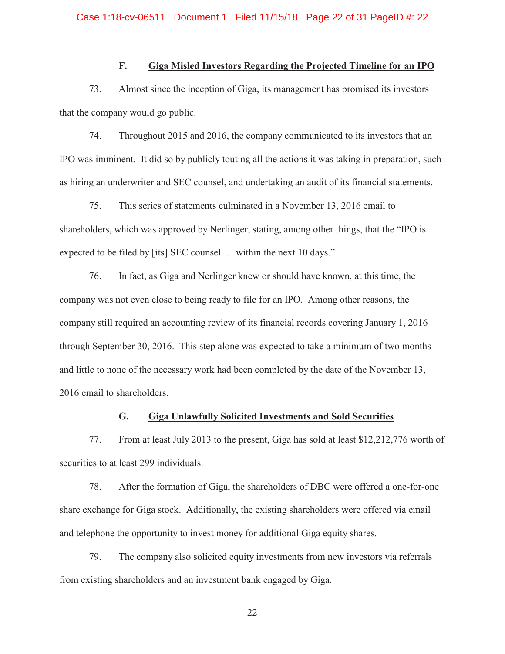# **F. Giga Misled Investors Regarding the Projected Timeline for an IPO**

73. Almost since the inception of Giga, its management has promised its investors that the company would go public.

74. Throughout 2015 and 2016, the company communicated to its investors that an IPO was imminent. It did so by publicly touting all the actions it was taking in preparation, such as hiring an underwriter and SEC counsel, and undertaking an audit of its financial statements.

75. This series of statements culminated in a November 13, 2016 email to shareholders, which was approved by Nerlinger, stating, among other things, that the "IPO is expected to be filed by [its] SEC counsel. . . within the next 10 days."

76. In fact, as Giga and Nerlinger knew or should have known, at this time, the company was not even close to being ready to file for an IPO. Among other reasons, the company still required an accounting review of its financial records covering January 1, 2016 through September 30, 2016. This step alone was expected to take a minimum of two months and little to none of the necessary work had been completed by the date of the November 13, 2016 email to shareholders.

#### **G. Giga Unlawfully Solicited Investments and Sold Securities**

77. From at least July 2013 to the present, Giga has sold at least \$12,212,776 worth of securities to at least 299 individuals.

78. After the formation of Giga, the shareholders of DBC were offered a one-for-one share exchange for Giga stock. Additionally, the existing shareholders were offered via email and telephone the opportunity to invest money for additional Giga equity shares.

79. The company also solicited equity investments from new investors via referrals from existing shareholders and an investment bank engaged by Giga.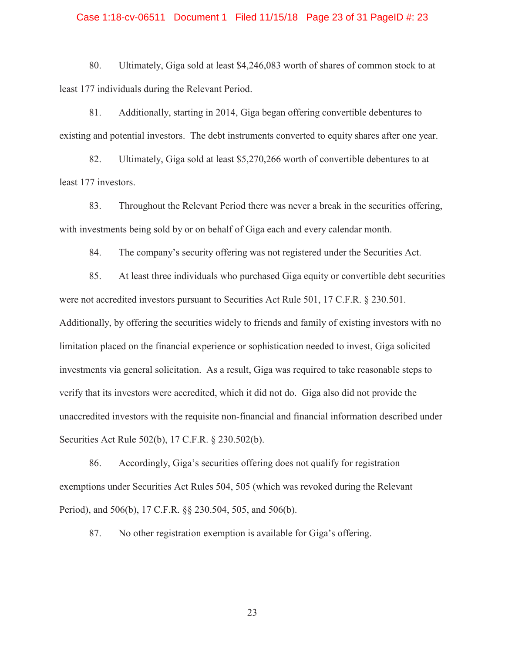#### Case 1:18-cv-06511 Document 1 Filed 11/15/18 Page 23 of 31 PageID #: 23

80. Ultimately, Giga sold at least \$4,246,083 worth of shares of common stock to at least 177 individuals during the Relevant Period.

81. Additionally, starting in 2014, Giga began offering convertible debentures to existing and potential investors. The debt instruments converted to equity shares after one year.

82. Ultimately, Giga sold at least \$5,270,266 worth of convertible debentures to at least 177 investors.

83. Throughout the Relevant Period there was never a break in the securities offering, with investments being sold by or on behalf of Giga each and every calendar month.

84. The company's security offering was not registered under the Securities Act.

85. At least three individuals who purchased Giga equity or convertible debt securities were not accredited investors pursuant to Securities Act Rule 501, 17 C.F.R. § 230.501. Additionally, by offering the securities widely to friends and family of existing investors with no limitation placed on the financial experience or sophistication needed to invest, Giga solicited investments via general solicitation. As a result, Giga was required to take reasonable steps to verify that its investors were accredited, which it did not do. Giga also did not provide the unaccredited investors with the requisite non-financial and financial information described under Securities Act Rule 502(b), 17 C.F.R. § 230.502(b).

86. Accordingly, Giga's securities offering does not qualify for registration exemptions under Securities Act Rules 504, 505 (which was revoked during the Relevant Period), and 506(b), 17 C.F.R. §§ 230.504, 505, and 506(b).

87. No other registration exemption is available for Giga's offering.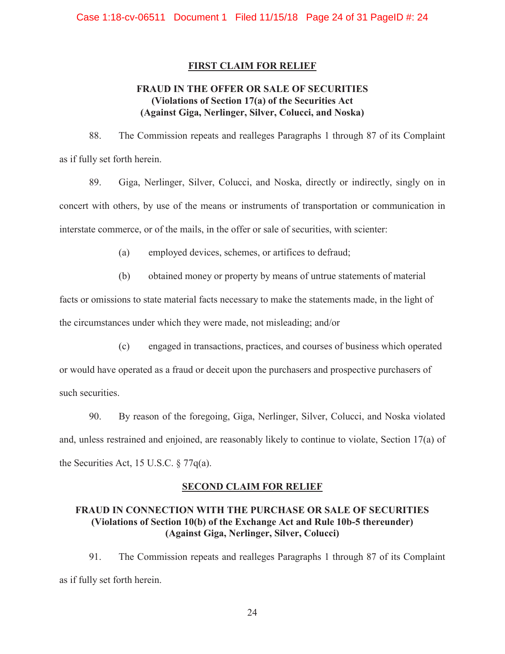# **FIRST CLAIM FOR RELIEF**

# **FRAUD IN THE OFFER OR SALE OF SECURITIES (Violations of Section 17(a) of the Securities Act (Against Giga, Nerlinger, Silver, Colucci, and Noska)**

88. The Commission repeats and realleges Paragraphs 1 through 87 of its Complaint as if fully set forth herein.

89. Giga, Nerlinger, Silver, Colucci, and Noska, directly or indirectly, singly on in concert with others, by use of the means or instruments of transportation or communication in interstate commerce, or of the mails, in the offer or sale of securities, with scienter:

(a) employed devices, schemes, or artifices to defraud;

(b) obtained money or property by means of untrue statements of material

facts or omissions to state material facts necessary to make the statements made, in the light of the circumstances under which they were made, not misleading; and/or

(c) engaged in transactions, practices, and courses of business which operated

or would have operated as a fraud or deceit upon the purchasers and prospective purchasers of such securities.

90. By reason of the foregoing, Giga, Nerlinger, Silver, Colucci, and Noska violated and, unless restrained and enjoined, are reasonably likely to continue to violate, Section 17(a) of the Securities Act, 15 U.S.C. § 77q(a).

# **SECOND CLAIM FOR RELIEF**

# **FRAUD IN CONNECTION WITH THE PURCHASE OR SALE OF SECURITIES (Violations of Section 10(b) of the Exchange Act and Rule 10b-5 thereunder) (Against Giga, Nerlinger, Silver, Colucci)**

91. The Commission repeats and realleges Paragraphs 1 through 87 of its Complaint as if fully set forth herein.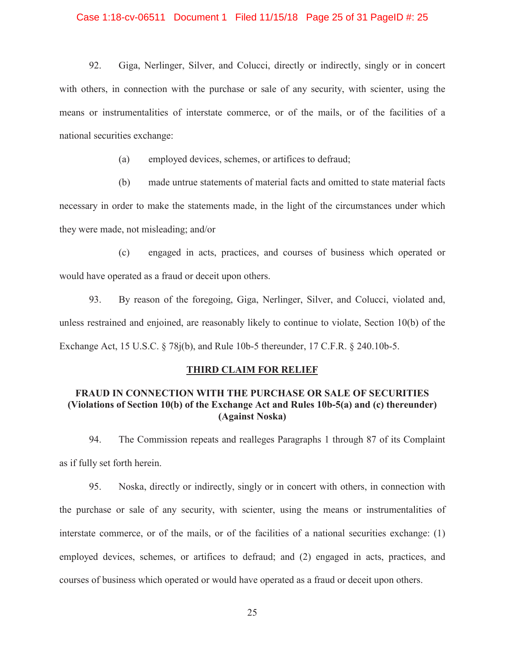#### Case 1:18-cv-06511 Document 1 Filed 11/15/18 Page 25 of 31 PageID #: 25

 means or instrumentalities of interstate commerce, or of the mails, or of the facilities of a 92. Giga, Nerlinger, Silver, and Colucci, directly or indirectly, singly or in concert with others, in connection with the purchase or sale of any security, with scienter, using the national securities exchange:

(a) employed devices, schemes, or artifices to defraud;

(b) made untrue statements of material facts and omitted to state material facts necessary in order to make the statements made, in the light of the circumstances under which they were made, not misleading; and/or

(c) engaged in acts, practices, and courses of business which operated or would have operated as a fraud or deceit upon others.

 unless restrained and enjoined, are reasonably likely to continue to violate, Section 10(b) of the 93. By reason of the foregoing, Giga, Nerlinger, Silver, and Colucci, violated and, Exchange Act, 15 U.S.C. § 78j(b), and Rule 10b-5 thereunder, 17 C.F.R. § 240.10b-5.

### **THIRD CLAIM FOR RELIEF**

# **FRAUD IN CONNECTION WITH THE PURCHASE OR SALE OF SECURITIES (Violations of Section 10(b) of the Exchange Act and Rules 10b-5(a) and (c) thereunder) (Against Noska)**

94. The Commission repeats and realleges Paragraphs 1 through 87 of its Complaint as if fully set forth herein.

95. Noska, directly or indirectly, singly or in concert with others, in connection with the purchase or sale of any security, with scienter, using the means or instrumentalities of interstate commerce, or of the mails, or of the facilities of a national securities exchange: (1) employed devices, schemes, or artifices to defraud; and (2) engaged in acts, practices, and courses of business which operated or would have operated as a fraud or deceit upon others.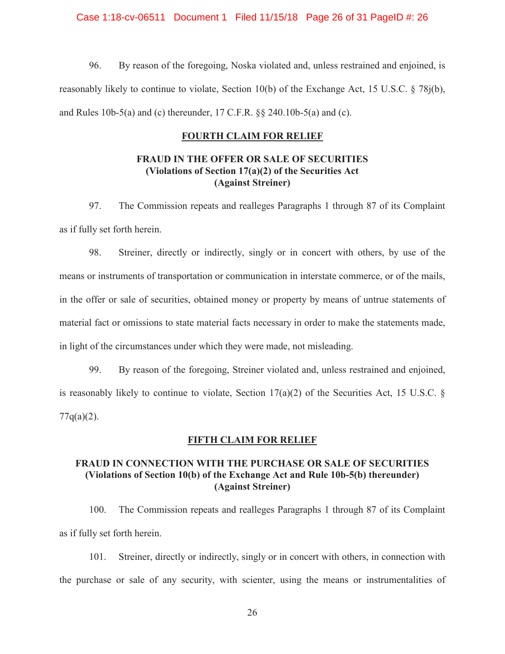Case 1:18-cv-06511 Document 1 Filed 11/15/18 Page 26 of 31 PageID #: 26

96. By reason of the foregoing, Noska violated and, unless restrained and enjoined, is reasonably likely to continue to violate, Section 10(b) of the Exchange Act, 15 U.S.C. § 78j(b), and Rules 10b-5(a) and (c) thereunder, 17 C.F.R. §§ 240.10b-5(a) and (c).

# **FOURTH CLAIM FOR RELIEF**

# **FRAUD IN THE OFFER OR SALE OF SECURITIES FRAUD IN THE OFFER OR SECTION 17(a)(2) of the Securities Act (Against Streiner)**

97. The Commission repeats and realleges Paragraphs 1 through 87 of its Complaint as if fully set forth herein.

 material fact or omissions to state material facts necessary in order to make the statements made, 98. Streiner, directly or indirectly, singly or in concert with others, by use of the means or instruments of transportation or communication in interstate commerce, or of the mails, in the offer or sale of securities, obtained money or property by means of untrue statements of in light of the circumstances under which they were made, not misleading.

99. By reason of the foregoing, Streiner violated and, unless restrained and enjoined, is reasonably likely to continue to violate, Section  $17(a)(2)$  of the Securities Act, 15 U.S.C. §  $77q(a)(2)$ .

### **FIFTH CLAIM FOR RELIEF**

# **FRAUD IN CONNECTION WITH THE PURCHASE OR SALE OF SECURITIES (Violations of Section 10(b) of the Exchange Act and Rule 10b-5(b) thereunder) (Against Streiner)**

100. The Commission repeats and realleges Paragraphs 1 through 87 of its Complaint as if fully set forth herein.

101. Streiner, directly or indirectly, singly or in concert with others, in connection with the purchase or sale of any security, with scienter, using the means or instrumentalities of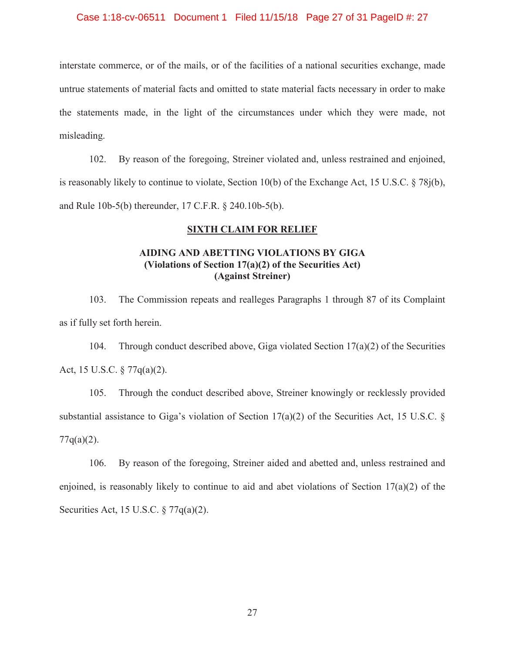#### Case 1:18-cv-06511 Document 1 Filed 11/15/18 Page 27 of 31 PageID #: 27

 interstate commerce, or of the mails, or of the facilities of a national securities exchange, made untrue statements of material facts and omitted to state material facts necessary in order to make the statements made, in the light of the circumstances under which they were made, not misleading.

102. By reason of the foregoing, Streiner violated and, unless restrained and enjoined, is reasonably likely to continue to violate, Section 10(b) of the Exchange Act, 15 U.S.C. § 78j(b), and Rule 10b-5(b) thereunder, 17 C.F.R. § 240.10b-5(b).

# **SIXTH CLAIM FOR RELIEF**

# **AIDING AND ABETTING VIOLATIONS BY GIGA (Violations of Section 17(a)(2) of the Securities Act) (Against Streiner)**

103. The Commission repeats and realleges Paragraphs 1 through 87 of its Complaint as if fully set forth herein.

104. Through conduct described above, Giga violated Section  $17(a)(2)$  of the Securities Act, 15 U.S.C. § 77q(a)(2).

105. Through the conduct described above, Streiner knowingly or recklessly provided substantial assistance to Giga's violation of Section  $17(a)(2)$  of the Securities Act, 15 U.S.C. §  $77q(a)(2)$ .

106. By reason of the foregoing, Streiner aided and abetted and, unless restrained and enjoined, is reasonably likely to continue to aid and abet violations of Section 17(a)(2) of the Securities Act, 15 U.S.C. § 77q(a)(2).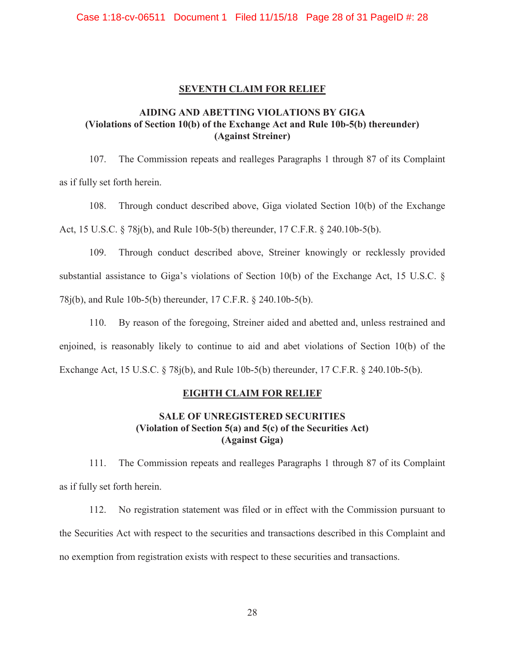### **SEVENTH CLAIM FOR RELIEF**

# **AIDING AND ABETTING VIOLATIONS BY GIGA (Violations of Section 10(b) of the Exchange Act and Rule 10b-5(b) thereunder) (Against Streiner)**

107. The Commission repeats and realleges Paragraphs 1 through 87 of its Complaint as if fully set forth herein.

108. Through conduct described above, Giga violated Section 10(b) of the Exchange Act, 15 U.S.C. § 78j(b), and Rule 10b-5(b) thereunder, 17 C.F.R. § 240.10b-5(b).

109. Through conduct described above, Streiner knowingly or recklessly provided substantial assistance to Giga's violations of Section 10(b) of the Exchange Act, 15 U.S.C. § 78j(b), and Rule 10b-5(b) thereunder, 17 C.F.R. § 240.10b-5(b).

110. By reason of the foregoing, Streiner aided and abetted and, unless restrained and enjoined, is reasonably likely to continue to aid and abet violations of Section 10(b) of the Exchange Act, 15 U.S.C. § 78j(b), and Rule 10b-5(b) thereunder, 17 C.F.R. § 240.10b-5(b).

# **EIGHTH CLAIM FOR RELIEF**

# **SALE OF UNREGISTERED SECURITIES (Violation of Section 5(a) and 5(c) of the Securities Act) (Against Giga)**

111. The Commission repeats and realleges Paragraphs 1 through 87 of its Complaint as if fully set forth herein.

112. No registration statement was filed or in effect with the Commission pursuant to the Securities Act with respect to the securities and transactions described in this Complaint and no exemption from registration exists with respect to these securities and transactions.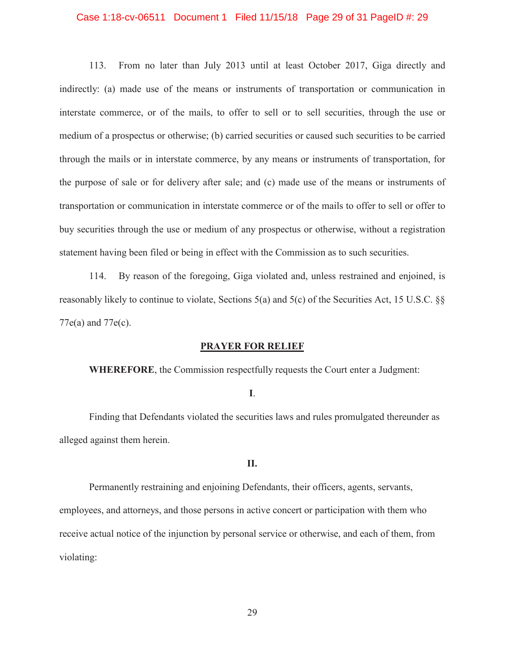#### Case 1:18-cv-06511 Document 1 Filed 11/15/18 Page 29 of 31 PageID #: 29

 indirectly: (a) made use of the means or instruments of transportation or communication in interstate commerce, or of the mails, to offer to sell or to sell securities, through the use or medium of a prospectus or otherwise; (b) carried securities or caused such securities to be carried 113. From no later than July 2013 until at least October 2017, Giga directly and through the mails or in interstate commerce, by any means or instruments of transportation, for the purpose of sale or for delivery after sale; and (c) made use of the means or instruments of transportation or communication in interstate commerce or of the mails to offer to sell or offer to buy securities through the use or medium of any prospectus or otherwise, without a registration statement having been filed or being in effect with the Commission as to such securities.

 reasonably likely to continue to violate, Sections 5(a) and 5(c) of the Securities Act, 15 U.S.C. §§ 114. By reason of the foregoing, Giga violated and, unless restrained and enjoined, is 77e(a) and 77e(c).

### **PRAYER FOR RELIEF**

**WHEREFORE**, the Commission respectfully requests the Court enter a Judgment:

**I**.

Finding that Defendants violated the securities laws and rules promulgated thereunder as alleged against them herein.

### **II.**

Permanently restraining and enjoining Defendants, their officers, agents, servants, employees, and attorneys, and those persons in active concert or participation with them who receive actual notice of the injunction by personal service or otherwise, and each of them, from violating: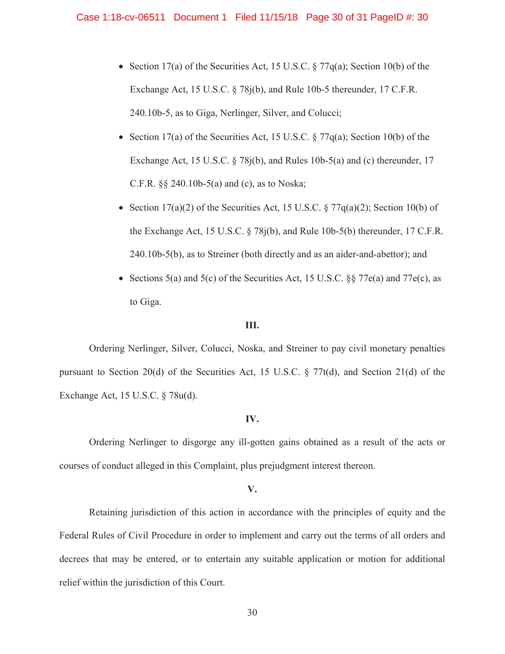- Section 17(a) of the Securities Act, 15 U.S.C.  $\S 77q(a)$ ; Section 10(b) of the Exchange Act, 15 U.S.C. § 78j(b), and Rule 10b-5 thereunder, 17 C.F.R. 240.10b-5, as to Giga, Nerlinger, Silver, and Colucci;
- Section 17(a) of the Securities Act, 15 U.S.C.  $\S 77q(a)$ ; Section 10(b) of the Exchange Act, 15 U.S.C. § 78j(b), and Rules 10b-5(a) and (c) thereunder, 17 C.F.R. §§ 240.10b-5(a) and (c), as to Noska;
- Section 17(a)(2) of the Securities Act, 15 U.S.C.  $\S 77q(a)(2)$ ; Section 10(b) of the Exchange Act, 15 U.S.C. § 78j(b), and Rule 10b-5(b) thereunder, 17 C.F.R. 240.10b-5(b), as to Streiner (both directly and as an aider-and-abettor); and
- Sections 5(a) and 5(c) of the Securities Act, 15 U.S.C.  $\S$  77e(a) and 77e(c), as to Giga.

#### **III.**

 Ordering Nerlinger, Silver, Colucci, Noska, and Streiner to pay civil monetary penalties pursuant to Section 20(d) of the Securities Act, 15 U.S.C. § 77t(d), and Section 21(d) of the Exchange Act, 15 U.S.C. § 78u(d).

### **IV.**

Ordering Nerlinger to disgorge any ill-gotten gains obtained as a result of the acts or courses of conduct alleged in this Complaint, plus prejudgment interest thereon.

#### **V.**

Retaining jurisdiction of this action in accordance with the principles of equity and the Federal Rules of Civil Procedure in order to implement and carry out the terms of all orders and decrees that may be entered, or to entertain any suitable application or motion for additional relief within the jurisdiction of this Court.